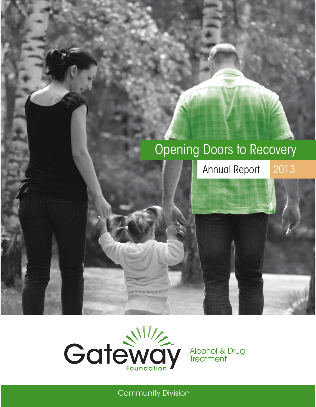# Opening Doors to Recovery

Annual Report 2013



Community Division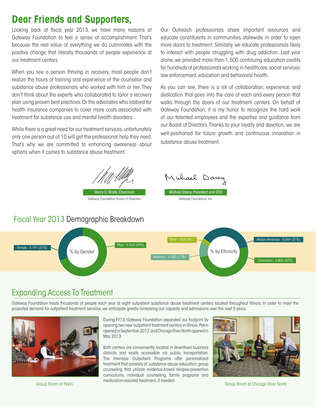### **Dear Friends and Supporters,**

Looking back at fiscal year 2013, we have many reasons at Gateway Foundation to feel a sense of accomplishment. That's because the real value of everything we do culminates with the positive change that literally thousands of people experience at our treatment centers.

When you see a person thriving in recovery, most people don't realize the hours of training and experience of the counselor and substance abuse professionals who worked with him or her. They don't think about the experts who collaborated to tailor a recovery plan using proven best practices. Or the advocates who lobbied for health insurance companies to cover more costs associated with treatment for substance use and mental health disorders.

While there is a great need for our treatment services, unfortunately only one person out of 10 will get the professional help they need. That's why we are committed to enhancing awareness about options when it comes to substance abuse treatment.

Our Outreach professionals share important resources and educate constituents in communities statewide in order to open more doors to treatment. Similarly, we educate professionals likely to interact with people struggling with drug addiction. Last year alone, we provided more than 1,500 continuing education credits for hundreds of professionals working in healthcare, social services, law enforcement, education and behavioral health.

As you can see, there is a lot of collaboration, experience, and dedication that goes into the care of each and every person that walks through the doors of our treatment centers. On behalf of Gateway Foundation, it is my honor to recognize the hard work of our talented employees and the expertise and guidance from our Board of Directors. Thanks to your loyalty and devotion, we are well-positioned for future growth and continuous innovation in substance abuse treatment.





#### Fiscal Year 2013 Demographic Breakdown



#### Expanding Access To Treatment

Gateway Foundation treats thousands of people each year at eight outpatient substance abuse treatment centers located throughout Illinois. In order to meet the projected demand for outpatient treatment services, we anticipate greatly increasing our capacity and admissions over the next 5 years.



During FY13, Gateway Foundation expanded our footprint by opening two new outpatient treatment centers in Illinois: Pekin opened in September 2012, and Chicago River North opened in May 2013.

Both centers are conveniently located in downtown business districts and easily accessible via public transportation. The Intensive Outpatient Programs offer personalized treatment that consists of: substance abuse education, group counseling that utilizes evidence-based relapse-prevention curriculums, individual counseling, family programs and medication-assisted treatment, if needed.



Group Room at Pekin Group Room at Chicago River North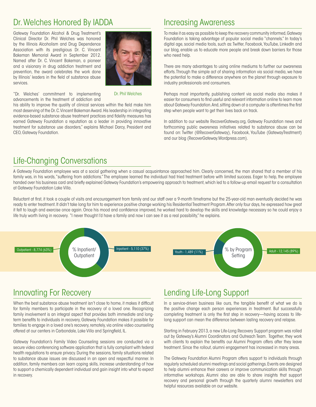### Dr. Welches Honored By IADDA **Increasing Awareness**

Gateway Foundation Alcohol & Drug Treatment's Clinical Director Dr. Phil Welches was honored by the Illinois Alcoholism and Drug Dependence Association with its prestigious Dr. C. Vincent Bakeman Memorial Award in September 2012. Named after Dr. C. Vincent Bakeman, a pioneer and a visionary in drug addiction treatment and prevention, the award celebrates the work done by Illinois' leaders in the field of substance abuse services.



"Dr. Welches' commitment to implementing advancements in the treatment of addiction and Dr. Phil Welches

his ability to improve the quality of clinical services within the field make him most deserving of the Dr. C. Vincent Bakeman Award. His leadership in integrating evidence-based substance abuse treatment practices and fidelity measures has earned Gateway Foundation a reputation as a leader in providing innovative treatment for substance use disorders," explains Michael Darcy, President and CEO, Gateway Foundation.

To make it as easy as possible to keep the recovery community informed, Gateway Foundation is taking advantage of popular social media "channels." In today's digital age, social media tools, such as: Twitter, Facebook, YouTube, LinkedIn and our blog, enable us to educate more people and break down barriers for those who need help.

There are many advantages to using online mediums to further our awareness efforts. Through the simple act of sharing information via social media, we have the potential to make a difference anywhere on the planet through exposure to industry professionals and consumers.

Perhaps most importantly, publishing content via social media also makes it easier for consumers to find useful and relevant information online to learn more about Gateway Foundation. And, sitting down at a computer is oftentimes the first step when people want to get their lives back on track.

In addition to our website RecoverGateway.org, Gateway Foundation news and forthcoming public awareness initiatives related to substance abuse can be found on: Twitter (@RecoverGateway), Facebook, YouTube (GatewayTreatment) and our blog (RecoverGateway.Wordpress.com).

### Life-Changing Conversations

A Gateway Foundation employee was at a social gathering when a casual acquaintance approached him. Clearly concerned, the man shared that a member of his family was, in his words, "suffering from addictions." The employee learned the individual had tried treatment before with limited success. Eager to help, the employee handed over his business card and briefly explained Gateway Foundation's empowering approach to treatment, which led to a follow-up email request for a consultation at Gateway Foundation Lake Villa.

Reluctant at first, it took a couple of visits and encouragement from family and our staff over a 9-month timeframe but the 25-year-old man eventually decided he was ready to enter treatment. It didn't take long for him to experience positive change working his Residential Treatment Program. After only four days, he expressed how great it felt to laugh and exercise once again. Once his mood and confidence improved, he worked hard to develop the skills and knowledge necessary so he could enjoy a life truly worth living in recovery. "I never thought I'd have a family and now I can see it as a real possibility," he explains.



#### Innovating For Recovery

When the best substance abuse treatment isn't close to home, it makes it difficult for family members to participate in the recovery of a loved one. Recognizing family involvement is an integral aspect that provides both immediate and longterm benefits to individuals in recovery, Gateway Foundation makes it possible for families to engage in a loved one's recovery, remotely, via online video counseling offered at our centers in Carbondale, Lake Villa and Springfield, IL.

Gateway Foundation's Family Video Counseling sessions are conducted via a secure video conferencing software application that is fully compliant with federal health regulations to ensure privacy. During the sessions, family situations related to substance abuse issues are discussed in an open and respectful manner. In addition, family members can learn coping skills, increase understanding of how to support a chemically dependent individual and gain insight into what to expect in recovery.

### Lending Life-Long Support

In a service-driven business like ours, the tangible benefit of what we do is the positive change each person experiences in treatment. But successfully completing treatment is only the first step in recovery—having access to lifelong support can mean the difference between lasting recovery and relapse.

Starting in February 2013, a new Life-Long Recovery Support program was rolled out by Gateway's Alumni Coordinators and Outreach Team. Together, they work with clients to explain the benefits our Alumni Program offers after they leave treatment. Since the rollout, alumni engagement has increased in many areas.

The Gateway Foundation Alumni Program offers support to individuals through regularly scheduled alumni meetings and social gatherings. Events are designed to help alumni enhance their careers or improve communication skills through informative workshops. Alumni also are able to share insights that support recovery and personal growth through the quarterly alumni newsletters and helpful resources available on our website.